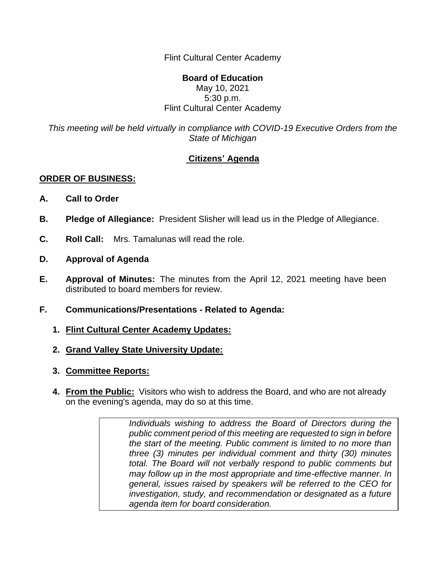Flint Cultural Center Academy

## **Board of Education**

## May 10, 2021 5:30 p.m. Flint Cultural Center Academy

*This meeting will be held virtually in compliance with COVID-19 Executive Orders from the State of Michigan*

## **Citizens' Agenda**

## **ORDER OF BUSINESS:**

- **A. Call to Order**
- **B. Pledge of Allegiance:** President Slisher will lead us in the Pledge of Allegiance.
- **C. Roll Call:** Mrs. Tamalunas will read the role.
- **D. Approval of Agenda**
- **E. Approval of Minutes:** The minutes from the April 12, 2021 meeting have been distributed to board members for review.
- **F. Communications/Presentations - Related to Agenda:**
	- **1. Flint Cultural Center Academy Updates:**
	- **2. Grand Valley State University Update:**
	- **3. Committee Reports:**
	- **4. From the Public:** Visitors who wish to address the Board, and who are not already on the evening's agenda, may do so at this time.

*Individuals wishing to address the Board of Directors during the public comment period of this meeting are requested to sign in before the start of the meeting. Public comment is limited to no more than three (3) minutes per individual comment and thirty (30) minutes total. The Board will not verbally respond to public comments but may follow up in the most appropriate and time-effective manner. In general, issues raised by speakers will be referred to the CEO for investigation, study, and recommendation or designated as a future agenda item for board consideration.*